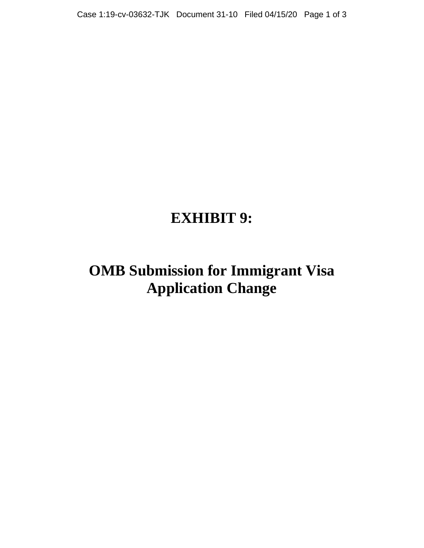## **EXHIBIT 9:**

## **OMB Submission for Immigrant Visa Application Change**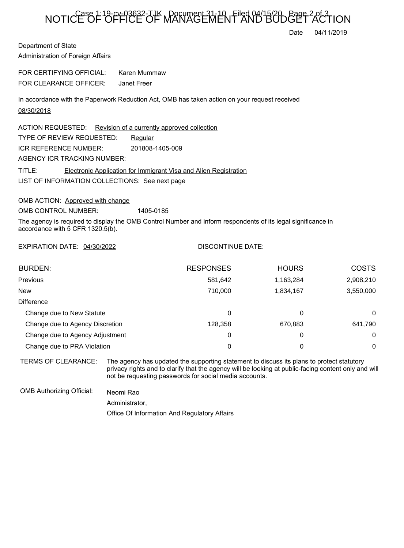## NOTICE OF OFFICE OF MANAGEMENT AND BUDGET ACTION

Date 04/11/2019

Department of State Administration of Foreign Affairs

FOR CERTIFYING OFFICIAL: Karen Mummaw FOR CLEARANCE OFFICER: Janet Freer

In accordance with the Paperwork Reduction Act, OMB has taken action on your request received 08/30/2018

LIST OF INFORMATION COLLECTIONS: See next page ACTION REQUESTED: Revision of a currently approved collection TYPE OF REVIEW REQUESTED: Requiar TITLE: Electronic Application for Immigrant Visa and Alien Registration ICR REFERENCE NUMBER: 201808-1405-009 AGENCY ICR TRACKING NUMBER:

OMB ACTION: Approved with change

OMB CONTROL NUMBER: 1405-0185

The agency is required to display the OMB Control Number and inform respondents of its legal significance in accordance with 5 CFR 1320.5(b).

EXPIRATION DATE: 04/30/2022

## DISCONTINUE DATE:

| <b>BURDEN:</b>                  | <b>RESPONSES</b> | <b>HOURS</b> | <b>COSTS</b> |
|---------------------------------|------------------|--------------|--------------|
| <b>Previous</b>                 | 581,642          | 1,163,284    | 2,908,210    |
| <b>New</b>                      | 710,000          | 1,834,167    | 3,550,000    |
| Difference                      |                  |              |              |
| Change due to New Statute       | 0                | 0            | $\Omega$     |
| Change due to Agency Discretion | 128,358          | 670,883      | 641,790      |
| Change due to Agency Adjustment | 0                | 0            | 0            |
| Change due to PRA Violation     | 0                | 0            | 0            |

TERMS OF CLEARANCE: The agency has updated the supporting statement to discuss its plans to protect statutory privacy rights and to clarify that the agency will be looking at public-facing content only and will not be requesting passwords for social media accounts.

OMB Authorizing Official: Neomi Rao

Administrator,

Office Of Information And Regulatory Affairs